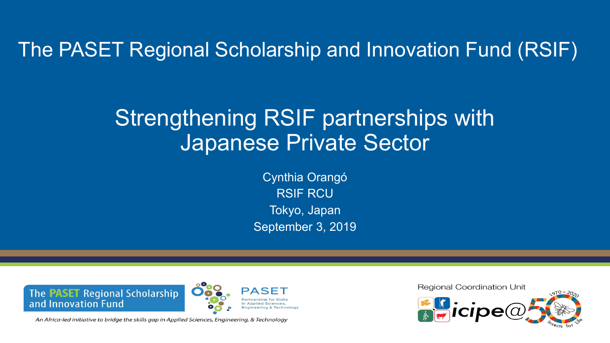The PASET Regional Scholarship and Innovation Fund (RSIF)

# Strengthening RSIF partnerships with Japanese Private Sector

Cynthia Orangó RSIF RCU Tokyo, Japan September 3, 2019

The PASET Regional Scholarship and Innovation Fund



An Africa-led initiative to bridge the skills gap in Applied Sciences, Engineering, & Technology

**Regional Coordination Unit**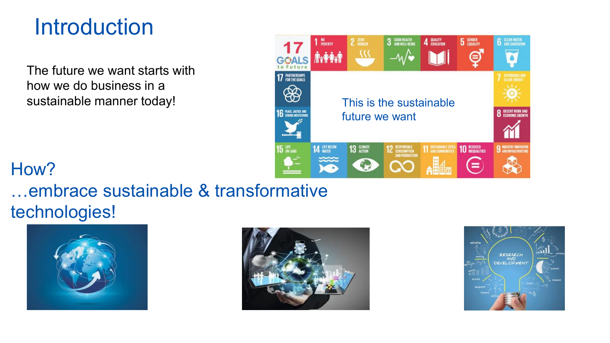# **Introduction**

The future we want starts with how we do business in a



# How?

…embrace sustainable & transformative technologies!





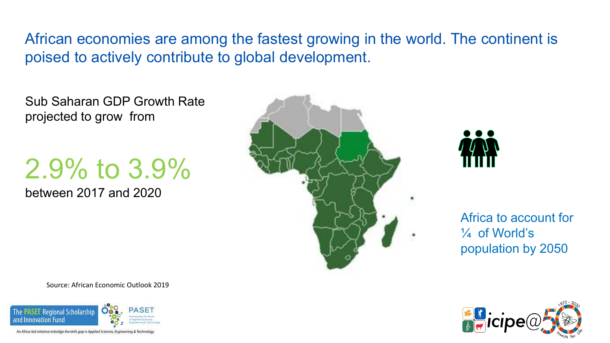African economies are among the fastest growing in the world. The continent is poised to actively contribute to global development.

Sub Saharan GDP Growth Rate projected to grow from

# 2.9% to 3.9%

between 2017 and 2020





Africa to account for ¼ of World's population by 2050

Source: African Economic Outlook 2019



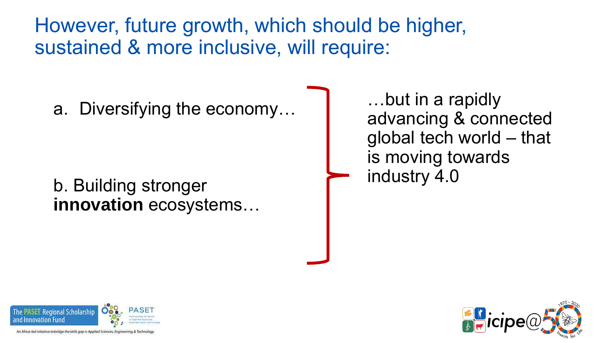However, future growth, which should be higher, sustained & more inclusive, will require:

a. Diversifying the economy…

b. Building stronger **innovation** ecosystems…

…but in a rapidly advancing & connected global tech world – that is moving towards industry 4.0



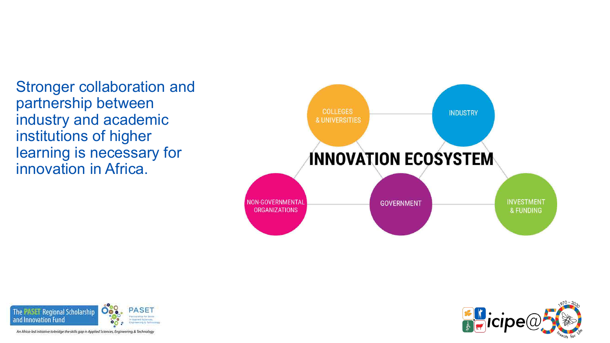Stronger collaboration and partnership between industry and academic institutions of higher learning is necessary for innovation in Africa.





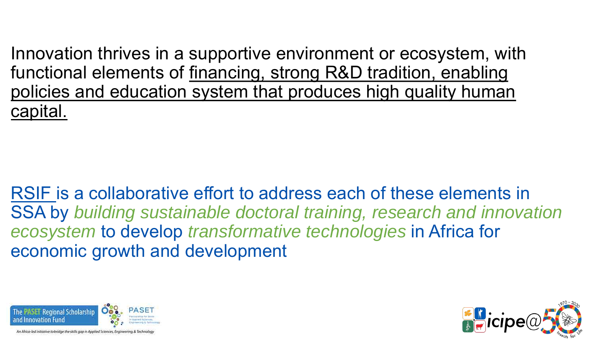Innovation thrives in a supportive environment or ecosystem, with functional elements of financing, strong R&D tradition, enabling policies and education system that produces high quality human capital.

RSIF is a collaborative effort to address each of these elements in SSA by *building sustainable doctoral training, research and innovation ecosystem* to develop *transformative technologies* in Africa for economic growth and development



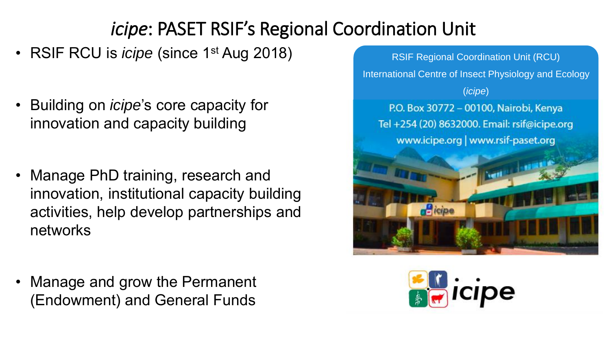# *icipe*: PASET RSIF's Regional Coordination Unit

- RSIF RCU is *icipe* (since 1<sup>st</sup> Aug 2018)
- Building on *icipe*'s core capacity for innovation and capacity building
- Manage PhD training, research and innovation, institutional capacity building activities, help develop partnerships and networks
- Manage and grow the Permanent (Endowment) and General Funds



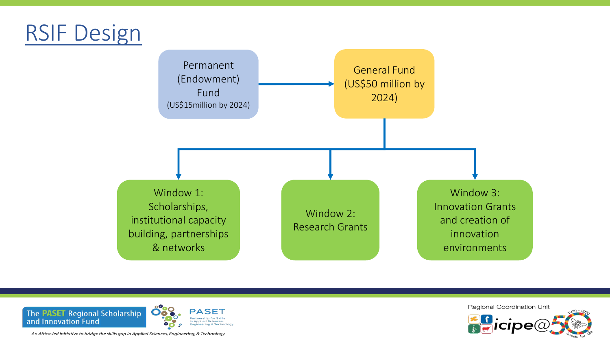# RSIF Design





**Regional Coordination Unit**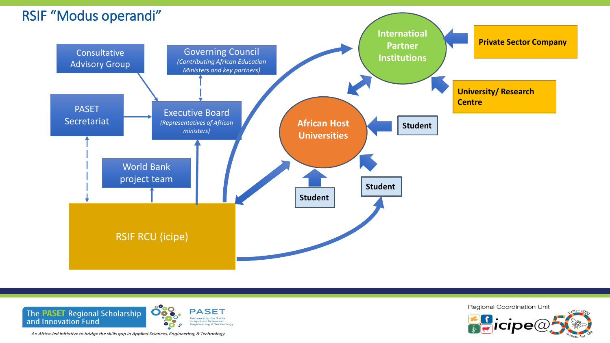



**Regional Coordination Unit**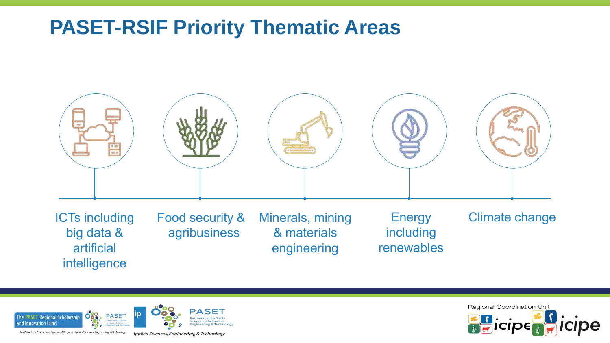## **PASET-RSIF Priority Thematic Areas**





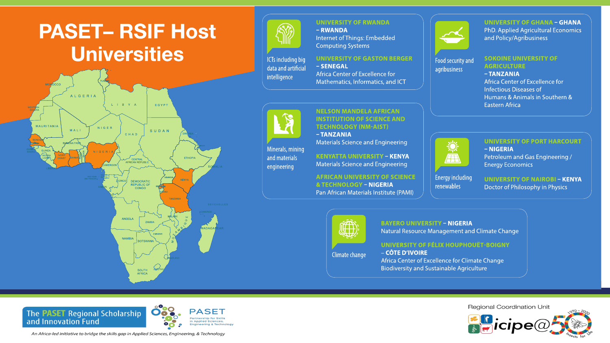





### **UNIVERSITY OF RWANDA**  $-RWANDA$

Internet of Things: Embedded **Computing Systems** 

#### **ICTs including big** - SENEGAL data and artificial intelligence

**UNIVERSITY OF GASTON BERGER** 

Africa Center of Excellence for Mathematics, Informatics, and ICT



Minerals, mining

and materials

engineering

#### **NELSON MANDELA AFRICAN INSTITUTION OF SCIENCE AND TECHNOLOGY (NM-AIST)**  $-TANZANIA$

**Materials Science and Engineering** 

**KENYATTA UNIVERSITY - KENYA** Materials Science and Engineering

**AFRICAN UNIVERSITY OF SCIENCE & TECHNOLOGY - NIGERIA** Pan African Materials Institute (PAMI)



Food security and

agribusiness

**UNIVERSITY OF GHANA - GHANA** PhD. Applied Agricultural Economics and Policy/Agribusiness

#### **SOKOINE UNIVERSITY OF AGRICULTURE**

-TANZANIA Africa Center of Excellence for **Infectious Diseases of** Humans & Animals in Southern & **Eastern Africa** 



**Energy including** 

renewables

#### **UNIVERSITY OF PORT HARCOURT**

- NIGERIA Petroleum and Gas Engineering / **Energy Economics** 

**UNIVERSITY OF NAIROBI - KENYA** Doctor of Philosophy in Physics



Climate change

#### **BAYERO UNIVERSITY - NIGERIA** Natural Resource Management and Climate Change

#### UNIVERSITY OF FÉLIX HOUPHOUËT-BOIGNY

- CÔTE D'IVOIRE Africa Center of Excellence for Climate Change **Biodiversity and Sustainable Agriculture** 



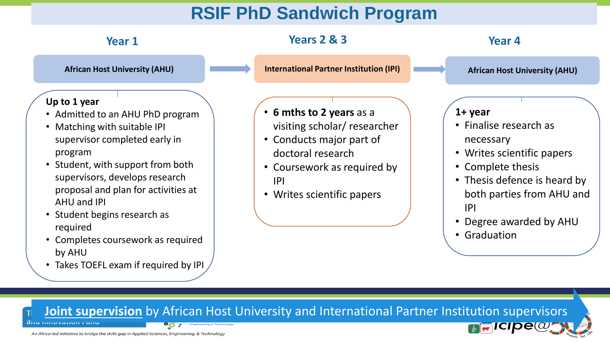## **RSIF PhD Sandwich Program**

| <b>Year 1</b>                                                                                                                                                                                                                                                                                                                                                                                       | <b>Years 2 &amp; 3</b>                                                                                                                                                        | Year 4                                                                                                                                                                                                              |
|-----------------------------------------------------------------------------------------------------------------------------------------------------------------------------------------------------------------------------------------------------------------------------------------------------------------------------------------------------------------------------------------------------|-------------------------------------------------------------------------------------------------------------------------------------------------------------------------------|---------------------------------------------------------------------------------------------------------------------------------------------------------------------------------------------------------------------|
| <b>African Host University (AHU)</b>                                                                                                                                                                                                                                                                                                                                                                | <b>International Partner Institution (IPI)</b>                                                                                                                                | <b>African Host University (AHU)</b>                                                                                                                                                                                |
| Up to 1 year<br>• Admitted to an AHU PhD program<br>Matching with suitable IPI<br>supervisor completed early in<br>program<br>• Student, with support from both<br>supervisors, develops research<br>proposal and plan for activities at<br><b>AHU and IPI</b><br>• Student begins research as<br>required<br>• Completes coursework as required<br>by AHU<br>• Takes TOEFL exam if required by IPI | • 6 mths to 2 years as a<br>visiting scholar/ researcher<br>• Conducts major part of<br>doctoral research<br>• Coursework as required by<br> P <br>• Writes scientific papers | $1 + year$<br>• Finalise research as<br>necessary<br>• Writes scientific papers<br>• Complete thesis<br>• Thesis defence is heard by<br>both parties from AHU and<br> P <br>• Degree awarded by AHU<br>• Graduation |
| Joint supervision by African Host University and International Partner Institution supervisors                                                                                                                                                                                                                                                                                                      |                                                                                                                                                                               | <b>MENTICIPE(W)</b>                                                                                                                                                                                                 |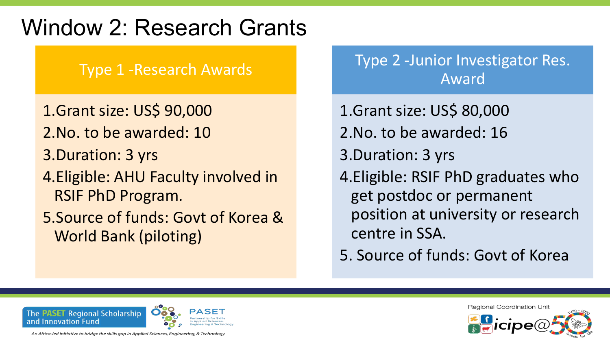# Window 2: Research Grants

## Type 1 -Research Awards

- 1.Grant size: US\$ 90,000
- 2.No. to be awarded: 10
- 3.Duration: 3 yrs
- 4.Eligible: AHU Faculty involved in RSIF PhD Program.
- 5.Source of funds: Govt of Korea & World Bank (piloting)

## Type 2 -Junior Investigator Res. Award

- 1.Grant size: US\$ 80,000 2.No. to be awarded: 16 3.Duration: 3 yrs 4.Eligible: RSIF PhD graduates who get postdoc or permanent position at university or research centre in SSA.
- 5. Source of funds: Govt of Korea



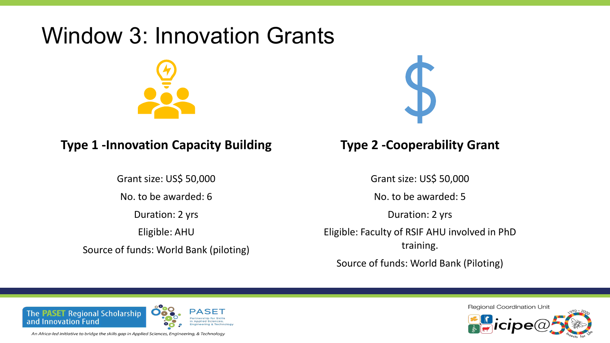# Window 3: Innovation Grants



## **Type 1 -Innovation Capacity Building**

Grant size: US\$ 50,000 No. to be awarded: 6 Duration: 2 yrs Eligible: AHU Source of funds: World Bank (piloting)



## **Type 2 -Cooperability Grant**

Grant size: US\$ 50,000

No. to be awarded: 5

Duration: 2 yrs

Eligible: Faculty of RSIF AHU involved in PhD training.

Source of funds: World Bank (Piloting)



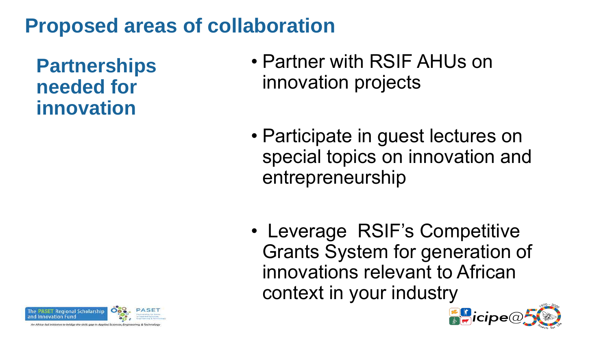# **Proposed areas of collaboration**

**Partnerships needed for innovation**

- Partner with RSIF AHUs on innovation projects
- Participate in guest lectures on special topics on innovation and entrepreneurship
- Leverage RSIF's Competitive Grants System for generation of innovations relevant to African context in your industry



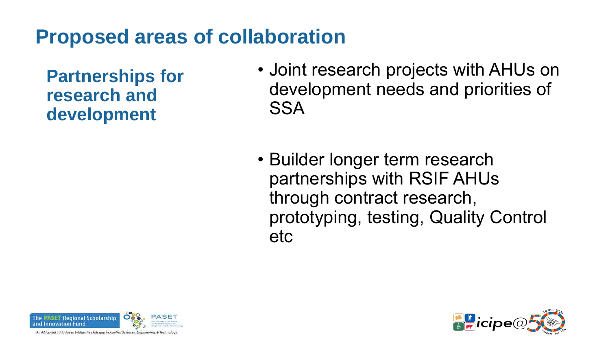# **Proposed areas of collaboration**

**Partnerships for research and development**

- Joint research projects with AHUs on development needs and priorities of SSA
- Builder longer term research partnerships with RSIF AHUs through contract research, prototyping, testing, Quality Control etc



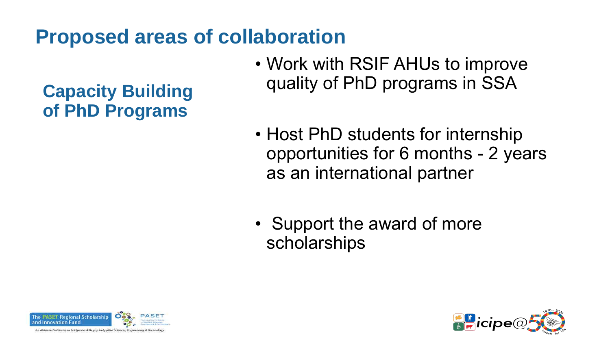# **Proposed areas of collaboration**

**Capacity Building of PhD Programs** 

- Work with RSIF AHUs to improve quality of PhD programs in SSA
- Host PhD students for internship opportunities for 6 months - 2 years as an international partner
- Support the award of more scholarships



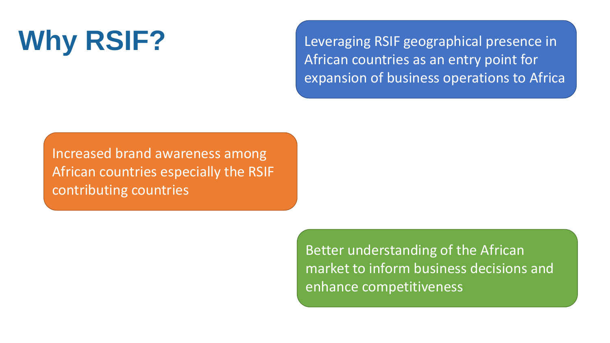Why RSIF? Leveraging RSIF geographical presence in African countries as an entry point for expansion of business operations to Africa

Increased brand awareness among African countries especially the RSIF contributing countries

> Better understanding of the African market to inform business decisions and enhance competitiveness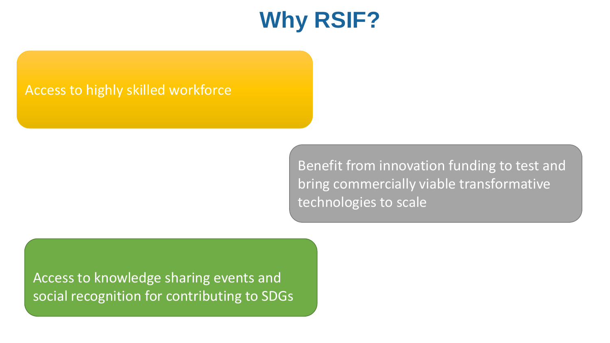# **Why RSIF?**

## Access to highly skilled workforce

Benefit from innovation funding to test and bring commercially viable transformative technologies to scale

Access to knowledge sharing events and social recognition for contributing to SDGs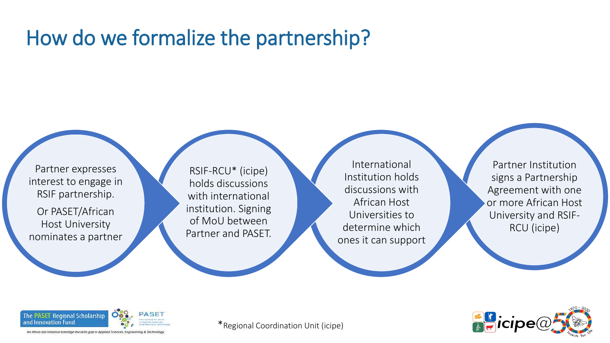# How do we formalize the partnership?

Partner expresses interest to engage in RSIF partnership.

Or PASET/African Host University nominates a partner

RSIF-RCU\* (icipe) holds discussions with international institution. Signing of MoU between Partner and PASET.

International Institution holds discussions with African Host Universities to determine which ones it can support

Partner Institution signs a Partnership Agreement with one or more African Host University and RSIF-RCU (icipe)



An Africa-led initiative to bridge the skills gap in Applied Sciences, Eng

\*Regional Coordination Unit (icipe)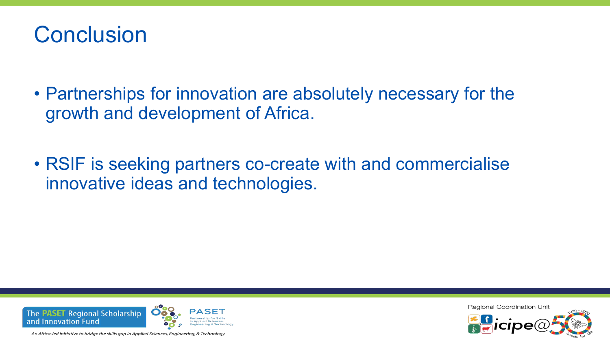

- Partnerships for innovation are absolutely necessary for the growth and development of Africa.
- RSIF is seeking partners co-create with and commercialise innovative ideas and technologies.



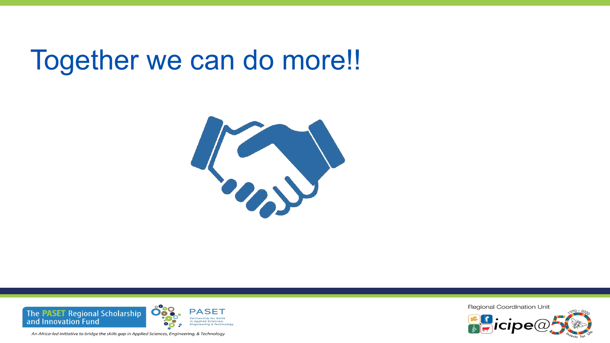# Together we can do more!!





**Regional Coordination Unit**